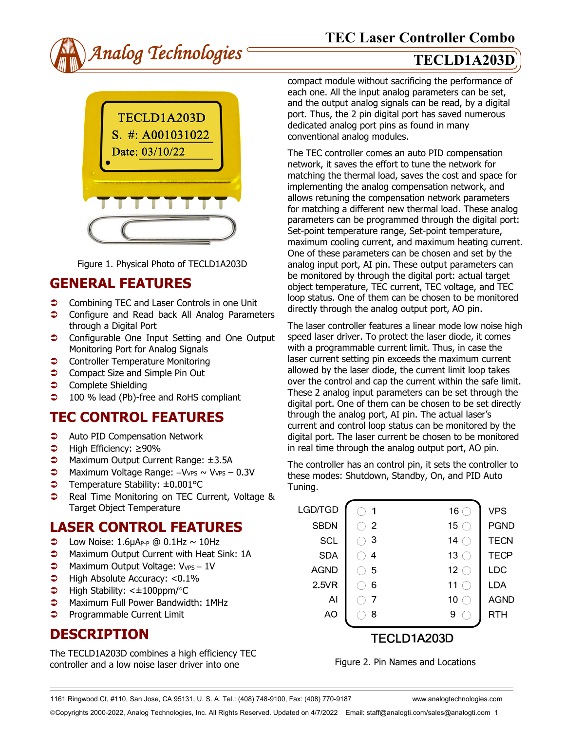



Figure 1. Physical Photo of TECLD1A203D

## **GENERAL FEATURES**

- **Combining TEC and Laser Controls in one Unit**
- **Configure and Read back All Analog Parameters** through a Digital Port
- **Configurable One Input Setting and One Output** Monitoring Port for Analog Signals
- **Controller Temperature Monitoring**
- **Compact Size and Simple Pin Out**
- **Complete Shielding**
- **→** 100 % lead (Pb)-free and RoHS compliant

## **TEC CONTROL FEATURES**

- **C** Auto PID Compensation Network
- High Efficiency: ≥90%
- **D** Maximum Output Current Range: ±3.5A
- $\supset$  Maximum Voltage Range: -VvPs ~ VvPs 0.3V
- Temperature Stability: ±0.001°C
- **●** Real Time Monitoring on TEC Current, Voltage & Target Object Temperature

## **LASER CONTROL FEATURES**

- $\bullet$  Low Noise: 1.6µAP-P @ 0.1Hz ~ 10Hz
- **C** Maximum Output Current with Heat Sink: 1A
- $\bigcirc$  Maximum Output Voltage: V<sub>VPS</sub> 1V
- $\blacktriangleright$  High Absolute Accuracy: <0.1%
- $\blacktriangleright$  High Stability: < $\pm$ 100ppm/°C
- **C** Maximum Full Power Bandwidth: 1MHz
- **Programmable Current Limit**

## **DESCRIPTION**

The TECLD1A203D combines a high efficiency TEC controller and a low noise laser driver into one

compact module without sacrificing the performance of each one. All the input analog parameters can be set, and the output analog signals can be read, by a digital port. Thus, the 2 pin digital port has saved numerous dedicated analog port pins as found in many conventional analog modules.

The TEC controller comes an auto PID compensation network, it saves the effort to tune the network for matching the thermal load, saves the cost and space for implementing the analog compensation network, and allows retuning the compensation network parameters for matching a different new thermal load. These analog parameters can be programmed through the digital port: Set-point temperature range, Set-point temperature, maximum cooling current, and maximum heating current. One of these parameters can be chosen and set by the analog input port, AI pin. These output parameters can be monitored by through the digital port: actual target object temperature, TEC current, TEC voltage, and TEC loop status. One of them can be chosen to be monitored directly through the analog output port, AO pin.

The laser controller features a linear mode low noise high speed laser driver. To protect the laser diode, it comes with a programmable current limit. Thus, in case the laser current setting pin exceeds the maximum current allowed by the laser diode, the current limit loop takes over the control and cap the current within the safe limit. These 2 analog input parameters can be set through the digital port. One of them can be chosen to be set directly through the analog port, AI pin. The actual laser's current and control loop status can be monitored by the digital port. The laser current be chosen to be monitored in real time through the analog output port, AO pin.

The controller has an control pin, it sets the controller to these modes: Shutdown, Standby, On, and PID Auto Tuning.

| LGD/TGD     | 1              | 16 $\bigcap$    | <b>VPS</b>  |  |
|-------------|----------------|-----------------|-------------|--|
| <b>SBDN</b> | $\overline{2}$ | 15 $\subset$    | <b>PGND</b> |  |
| <b>SCL</b>  | 3              | 14              | <b>TECN</b> |  |
| <b>SDA</b>  | 4              | 13 <sup>°</sup> | <b>TECP</b> |  |
| <b>AGND</b> | 5              | 12 <sub>1</sub> | LDC         |  |
| 2.5VR       | 6              | 11              | LDA         |  |
| Al          |                | 10              | <b>AGND</b> |  |
| AO          | 8              | 9               | RTH         |  |
|             |                | TECLD1A203D     |             |  |
|             |                |                 |             |  |

Figure 2. Pin Names and Locations

1161 Ringwood Ct, #110, San Jose, CA 95131, U. S. A. Tel.: (408) 748-9100, Fax: (408) 770-9187 www.analogtechnologies.com

Copyrights 2000-2022, Analog Technologies, Inc. All Rights Reserved. Updated on 4/7/2022 Email: staff@analogti.com/sales@analogti.com 1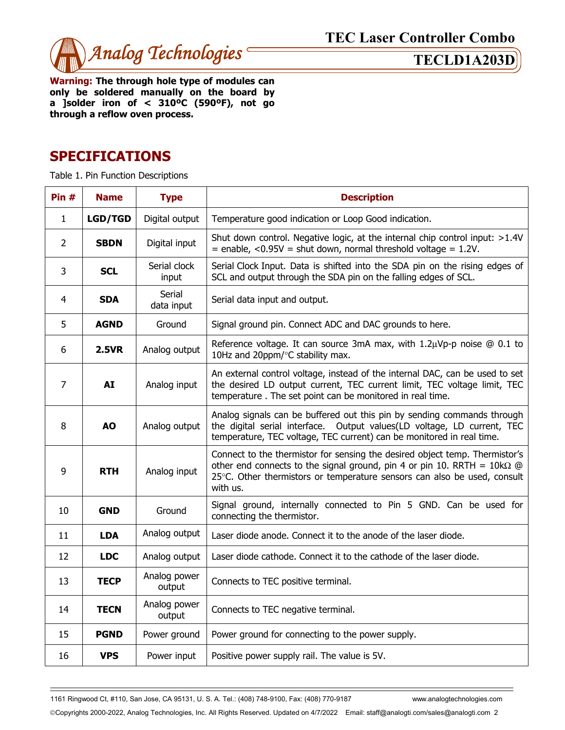

**Warning: The through hole type of modules can only be soldered manually on the board by a ]solder iron of < 310ºC (590ºF), not go through a reflow oven process.** 

# **SPECIFICATIONS**

Table 1. Pin Function Descriptions

| Pin#           | <b>Name</b>    | <b>Type</b>            | <b>Description</b>                                                                                                                                                                                                                                    |  |  |
|----------------|----------------|------------------------|-------------------------------------------------------------------------------------------------------------------------------------------------------------------------------------------------------------------------------------------------------|--|--|
| $\mathbf{1}$   | <b>LGD/TGD</b> | Digital output         | Temperature good indication or Loop Good indication.                                                                                                                                                                                                  |  |  |
| $\overline{2}$ | <b>SBDN</b>    | Digital input          | Shut down control. Negative logic, at the internal chip control input: >1.4V<br>$=$ enable, <0.95V = shut down, normal threshold voltage = 1.2V.                                                                                                      |  |  |
| 3              | <b>SCL</b>     | Serial clock<br>input  | Serial Clock Input. Data is shifted into the SDA pin on the rising edges of<br>SCL and output through the SDA pin on the falling edges of SCL.                                                                                                        |  |  |
| $\overline{4}$ | <b>SDA</b>     | Serial<br>data input   | Serial data input and output.                                                                                                                                                                                                                         |  |  |
| 5              | <b>AGND</b>    | Ground                 | Signal ground pin. Connect ADC and DAC grounds to here.                                                                                                                                                                                               |  |  |
| 6              | <b>2.5VR</b>   | Analog output          | Reference voltage. It can source 3mA max, with $1.2\mu Vp-p$ noise $@0.1$ to<br>10Hz and 20ppm/°C stability max.                                                                                                                                      |  |  |
| $\overline{7}$ | <b>AI</b>      | Analog input           | An external control voltage, instead of the internal DAC, can be used to set<br>the desired LD output current, TEC current limit, TEC voltage limit, TEC<br>temperature. The set point can be monitored in real time.                                 |  |  |
| 8              | <b>AO</b>      | Analog output          | Analog signals can be buffered out this pin by sending commands through<br>the digital serial interface. Output values(LD voltage, LD current, TEC<br>temperature, TEC voltage, TEC current) can be monitored in real time.                           |  |  |
| 9              | <b>RTH</b>     | Analog input           | Connect to the thermistor for sensing the desired object temp. Thermistor's<br>other end connects to the signal ground, pin 4 or pin 10. RRTH = $10k\Omega$ @<br>25°C. Other thermistors or temperature sensors can also be used, consult<br>with us. |  |  |
| 10             | <b>GND</b>     | Ground                 | Signal ground, internally connected to Pin 5 GND. Can be used for<br>connecting the thermistor.                                                                                                                                                       |  |  |
| 11             | <b>LDA</b>     | Analog output          | Laser diode anode. Connect it to the anode of the laser diode.                                                                                                                                                                                        |  |  |
| 12             | <b>LDC</b>     | Analog output          | Laser diode cathode. Connect it to the cathode of the laser diode.                                                                                                                                                                                    |  |  |
| 13             | <b>TECP</b>    | Analog power<br>output | Connects to TEC positive terminal.                                                                                                                                                                                                                    |  |  |
| 14             | <b>TECN</b>    | Analog power<br>output | Connects to TEC negative terminal.                                                                                                                                                                                                                    |  |  |
| 15             | <b>PGND</b>    | Power ground           | Power ground for connecting to the power supply.                                                                                                                                                                                                      |  |  |
| 16             | <b>VPS</b>     | Power input            | Positive power supply rail. The value is 5V.                                                                                                                                                                                                          |  |  |

1161 Ringwood Ct, #110, San Jose, CA 95131, U. S. A. Tel.: (408) 748-9100, Fax: (408) 770-9187 www.analogtechnologies.com

Copyrights 2000-2022, Analog Technologies, Inc. All Rights Reserved. Updated on 4/7/2022 Email: staff@analogti.com/sales@analogti.com 2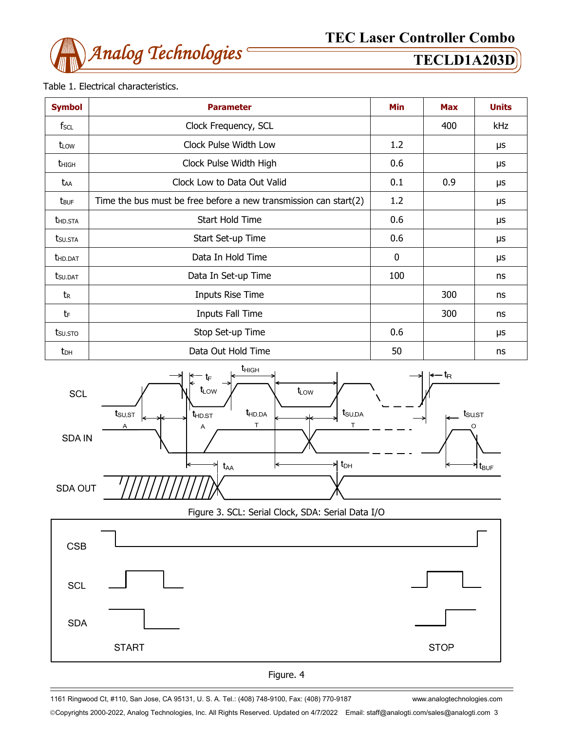

## Table 1. Electrical characteristics.

| <b>Symbol</b>           | <b>Parameter</b>                                                 |             | <b>Max</b> | <b>Units</b> |
|-------------------------|------------------------------------------------------------------|-------------|------------|--------------|
| f <sub>SCL</sub>        | Clock Frequency, SCL                                             |             | 400        | kHz          |
| t <sub>LOW</sub>        | Clock Pulse Width Low                                            | 1.2         |            | μs           |
| thigh                   | Clock Pulse Width High                                           | 0.6         |            | μs           |
| taa                     | Clock Low to Data Out Valid                                      | 0.1         | 0.9        | μs           |
| <b>t</b> <sub>BUF</sub> | Time the bus must be free before a new transmission can start(2) | 1.2         |            | μs           |
| <b>THD.STA</b>          | Start Hold Time                                                  | 0.6         |            | μs           |
| tsu.sta                 | Start Set-up Time                                                | 0.6         |            | μs           |
| <b>t</b> hd.dat         | Data In Hold Time                                                | $\mathbf 0$ |            | μs           |
| <b>t</b> su.dat         | Data In Set-up Time                                              | 100         |            | ns           |
| t <sub>R</sub>          | Inputs Rise Time                                                 |             | 300        | ns           |
| tF                      | <b>Inputs Fall Time</b>                                          |             | 300        | ns           |
| tsu.sto                 | Stop Set-up Time                                                 | 0.6         |            | μs           |
| t <sub>DH</sub>         | Data Out Hold Time                                               | 50          |            | ns           |



Figure 3. SCL: Serial Clock, SDA: Serial Data I/O





1161 Ringwood Ct, #110, San Jose, CA 95131, U. S. A. Tel.: (408) 748-9100, Fax: (408) 770-9187 www.analogtechnologies.com

Copyrights 2000-2022, Analog Technologies, Inc. All Rights Reserved. Updated on 4/7/2022 Email: staff@analogti.com/sales@analogti.com 3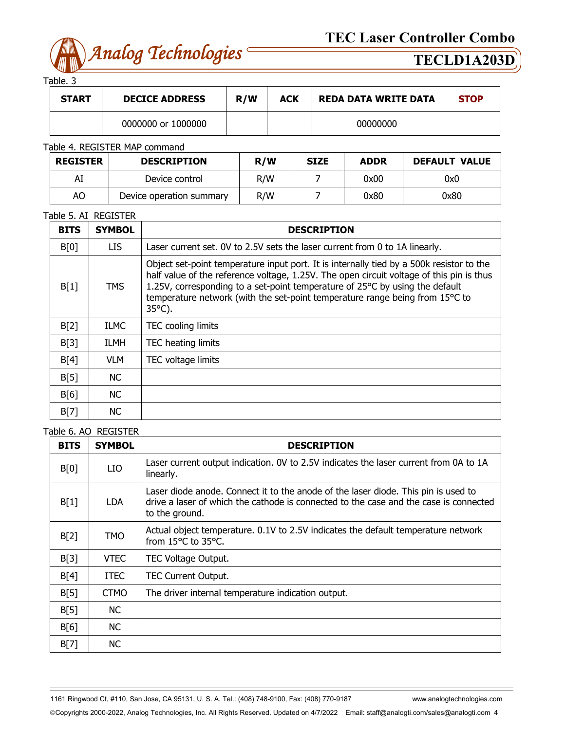

Table. 3

| <b>START</b> | <b>DECICE ADDRESS</b> | R/W | ACK | <b>REDA DATA WRITE DATA</b> | <b>STOP</b> |
|--------------|-----------------------|-----|-----|-----------------------------|-------------|
|              | 0000000 or 1000000    |     |     | 00000000                    |             |

## Table 4. REGISTER MAP command

| <b>REGISTER</b> | <b>DESCRIPTION</b>       | R/W | <b>SIZE</b> | <b>ADDR</b> | <b>DEFAULT VALUE</b> |
|-----------------|--------------------------|-----|-------------|-------------|----------------------|
| Al              | Device control           | R/W |             | 0x00        | 0x0                  |
| AO              | Device operation summary |     |             | 0x80        | 0x80                 |

### Table 5. AI REGISTER

| <b>BITS</b> | <b>SYMBOL</b> | <b>DESCRIPTION</b>                                                                                                                                                                                                                                                                                                                                                       |
|-------------|---------------|--------------------------------------------------------------------------------------------------------------------------------------------------------------------------------------------------------------------------------------------------------------------------------------------------------------------------------------------------------------------------|
| B[0]        | LIS.          | Laser current set. OV to 2.5V sets the laser current from 0 to 1A linearly.                                                                                                                                                                                                                                                                                              |
| B[1]        | <b>TMS</b>    | Object set-point temperature input port. It is internally tied by a 500k resistor to the<br>half value of the reference voltage, 1.25V. The open circuit voltage of this pin is thus<br>1.25V, corresponding to a set-point temperature of 25°C by using the default<br>temperature network (with the set-point temperature range being from 15°C to<br>$35^{\circ}$ C). |
| B[2]        | <b>ILMC</b>   | TEC cooling limits                                                                                                                                                                                                                                                                                                                                                       |
| B[3]        | ILMH          | TEC heating limits                                                                                                                                                                                                                                                                                                                                                       |
| B[4]        | <b>VLM</b>    | TEC voltage limits                                                                                                                                                                                                                                                                                                                                                       |
| B[5]        | NC.           |                                                                                                                                                                                                                                                                                                                                                                          |
| B[6]        | NC.           |                                                                                                                                                                                                                                                                                                                                                                          |
| B[7]        | <b>NC</b>     |                                                                                                                                                                                                                                                                                                                                                                          |

### Table 6. AO REGISTER

| <b>BITS</b> | <b>SYMBOL</b> | <b>DESCRIPTION</b>                                                                                                                                                                            |
|-------------|---------------|-----------------------------------------------------------------------------------------------------------------------------------------------------------------------------------------------|
| B[0]        | LIO           | Laser current output indication. OV to 2.5V indicates the laser current from 0A to 1A<br>linearly.                                                                                            |
| B[1]        | <b>LDA</b>    | Laser diode anode. Connect it to the anode of the laser diode. This pin is used to<br>drive a laser of which the cathode is connected to the case and the case is connected<br>to the ground. |
| B[2]        | <b>TMO</b>    | Actual object temperature. 0.1V to 2.5V indicates the default temperature network<br>from 15°C to 35°C.                                                                                       |
| B[3]        | <b>VTEC</b>   | TEC Voltage Output.                                                                                                                                                                           |
| B[4]        | <b>ITEC</b>   | <b>TEC Current Output.</b>                                                                                                                                                                    |
| B[5]        | <b>CTMO</b>   | The driver internal temperature indication output.                                                                                                                                            |
| B[5]        | NC.           |                                                                                                                                                                                               |
| B[6]        | <b>NC</b>     |                                                                                                                                                                                               |
| B[7]        | <b>NC</b>     |                                                                                                                                                                                               |

1161 Ringwood Ct, #110, San Jose, CA 95131, U. S. A. Tel.: (408) 748-9100, Fax: (408) 770-9187 www.analogtechnologies.com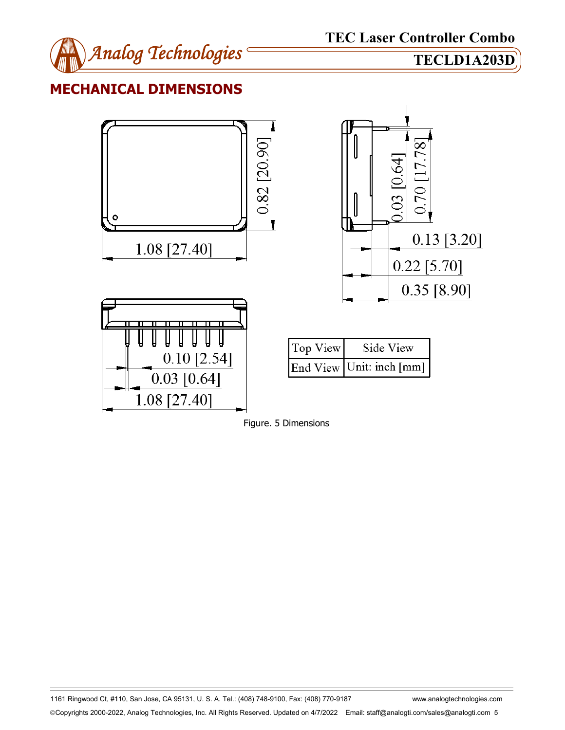

# **MECHANICAL DIMENSIONS**





1161 Ringwood Ct, #110, San Jose, CA 95131, U. S. A. Tel.: (408) 748-9100, Fax: (408) 770-9187 www.analogtechnologies.com Copyrights 2000-2022, Analog Technologies, Inc. All Rights Reserved. Updated on 4/7/2022 Email: staff@analogti.com/sales@analogti.com 5